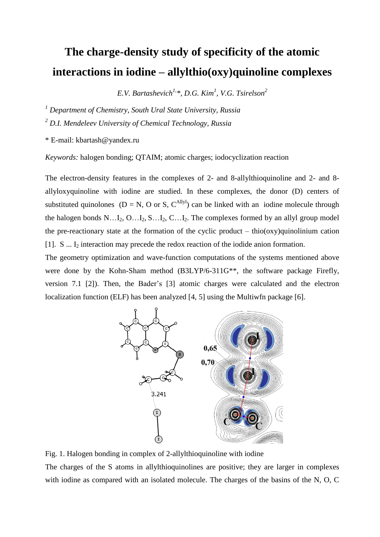## **The charge-density study of specificity of the atomic interactions in iodine – allylthio(oxy)quinoline complexes**

*E.V. Bartashevich1, \*, D.G. Kim<sup>1</sup> , V.G. Tsirelson<sup>2</sup>*

*<sup>1</sup> Department of Chemistry, South Ural State University, Russia*

*<sup>2</sup> D.I. Mendeleev University of Chemical Technology, Russia*

\* E-mail: kbartash@yandex.ru

*Keywords:* halogen bonding; QTAIM; atomic charges; iodocyclization reaction

The electron-density features in the complexes of 2- and 8-allylthioquinoline and 2- and 8 allyloxyquinoline with iodine are studied. In these complexes, the donor (D) centers of substituted quinolones ( $D = N$ , O or S,  $C^{Allyl}$ ) can be linked with an iodine molecule through the halogen bonds  $N...I_2$ ,  $O...I_2$ ,  $S...I_2$ ,  $C...I_2$ . The complexes formed by an allyl group model the pre-reactionary state at the formation of the cyclic product – thio( $\alpha$ y)quinolinium cation [1]. S  $\dots$  I<sub>2</sub> interaction may precede the redox reaction of the iodide anion formation.

The geometry optimization and wave-function computations of the systems mentioned above were done by the Kohn-Sham method (B3LYP/6-311G<sup>\*\*</sup>, the software package Firefly, version 7.1 [2]). Then, the Bader's [3] atomic charges were calculated and the electron localization function (ELF) has been analyzed [4, 5] using the Multiwfn package [6].



Fig. 1. Halogen bonding in complex of 2-allylthioquinoline with iodine The charges of the S atoms in allylthioquinolines are positive; they are larger in complexes with iodine as compared with an isolated molecule. The charges of the basins of the N, O, C